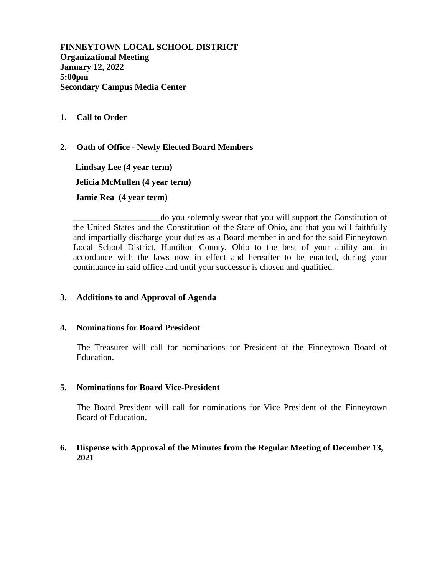**FINNEYTOWN LOCAL SCHOOL DISTRICT Organizational Meeting January 12, 2022 5:00pm Secondary Campus Media Center**

#### **1. Call to Order**

**2. Oath of Office - Newly Elected Board Members**

 **Lindsay Lee (4 year term) Jelicia McMullen (4 year term) Jamie Rea (4 year term)**

\_\_\_\_\_\_\_\_\_\_\_\_\_\_\_\_\_\_\_\_do you solemnly swear that you will support the Constitution of the United States and the Constitution of the State of Ohio, and that you will faithfully and impartially discharge your duties as a Board member in and for the said Finneytown Local School District, Hamilton County, Ohio to the best of your ability and in accordance with the laws now in effect and hereafter to be enacted, during your continuance in said office and until your successor is chosen and qualified.

### **3. Additions to and Approval of Agenda**

#### **4. Nominations for Board President**

The Treasurer will call for nominations for President of the Finneytown Board of Education.

#### **5. Nominations for Board Vice-President**

The Board President will call for nominations for Vice President of the Finneytown Board of Education.

### **6. Dispense with Approval of the Minutes from the Regular Meeting of December 13, 2021**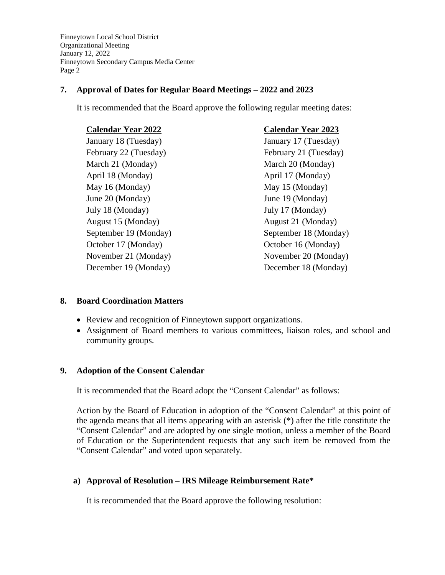Finneytown Local School District Organizational Meeting January 12, 2022 Finneytown Secondary Campus Media Center Page 2

### **7. Approval of Dates for Regular Board Meetings – 2022 and 2023**

It is recommended that the Board approve the following regular meeting dates:

| <b>Calendar Year 2022</b> | <b>Calendar Year 2023</b> |
|---------------------------|---------------------------|
| January 18 (Tuesday)      | January 17 (Tuesday)      |
| February 22 (Tuesday)     | February 21 (Tuesday)     |
| March 21 (Monday)         | March 20 (Monday)         |
| April 18 (Monday)         | April 17 (Monday)         |
| May 16 (Monday)           | May 15 (Monday)           |
| June 20 (Monday)          | June 19 (Monday)          |
| July 18 (Monday)          | July 17 (Monday)          |
| August 15 (Monday)        | August 21 (Monday)        |
| September 19 (Monday)     | September 18 (Monday)     |
| October 17 (Monday)       | October 16 (Monday)       |
| November 21 (Monday)      | November 20 (Monday)      |
| December 19 (Monday)      | December 18 (Monday)      |

## **8. Board Coordination Matters**

- Review and recognition of Finneytown support organizations.
- Assignment of Board members to various committees, liaison roles, and school and community groups.

### **9. Adoption of the Consent Calendar**

It is recommended that the Board adopt the "Consent Calendar" as follows:

Action by the Board of Education in adoption of the "Consent Calendar" at this point of the agenda means that all items appearing with an asterisk (\*) after the title constitute the "Consent Calendar" and are adopted by one single motion, unless a member of the Board of Education or the Superintendent requests that any such item be removed from the "Consent Calendar" and voted upon separately.

### **a) Approval of Resolution – IRS Mileage Reimbursement Rate\***

It is recommended that the Board approve the following resolution: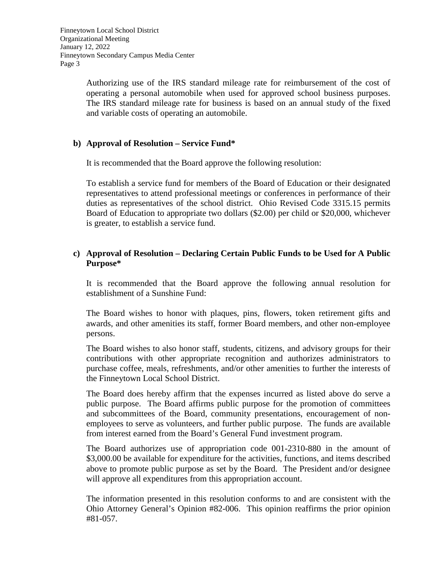Authorizing use of the IRS standard mileage rate for reimbursement of the cost of operating a personal automobile when used for approved school business purposes. The IRS standard mileage rate for business is based on an annual study of the fixed and variable costs of operating an automobile.

## **b) Approval of Resolution – Service Fund\***

It is recommended that the Board approve the following resolution:

To establish a service fund for members of the Board of Education or their designated representatives to attend professional meetings or conferences in performance of their duties as representatives of the school district. Ohio Revised Code 3315.15 permits Board of Education to appropriate two dollars (\$2.00) per child or \$20,000, whichever is greater, to establish a service fund.

## **c) Approval of Resolution – Declaring Certain Public Funds to be Used for A Public Purpose\***

It is recommended that the Board approve the following annual resolution for establishment of a Sunshine Fund:

The Board wishes to honor with plaques, pins, flowers, token retirement gifts and awards, and other amenities its staff, former Board members, and other non-employee persons.

The Board wishes to also honor staff, students, citizens, and advisory groups for their contributions with other appropriate recognition and authorizes administrators to purchase coffee, meals, refreshments, and/or other amenities to further the interests of the Finneytown Local School District.

The Board does hereby affirm that the expenses incurred as listed above do serve a public purpose. The Board affirms public purpose for the promotion of committees and subcommittees of the Board, community presentations, encouragement of nonemployees to serve as volunteers, and further public purpose. The funds are available from interest earned from the Board's General Fund investment program.

The Board authorizes use of appropriation code 001-2310-880 in the amount of \$3,000.00 be available for expenditure for the activities, functions, and items described above to promote public purpose as set by the Board. The President and/or designee will approve all expenditures from this appropriation account.

The information presented in this resolution conforms to and are consistent with the Ohio Attorney General's Opinion #82-006. This opinion reaffirms the prior opinion #81-057.